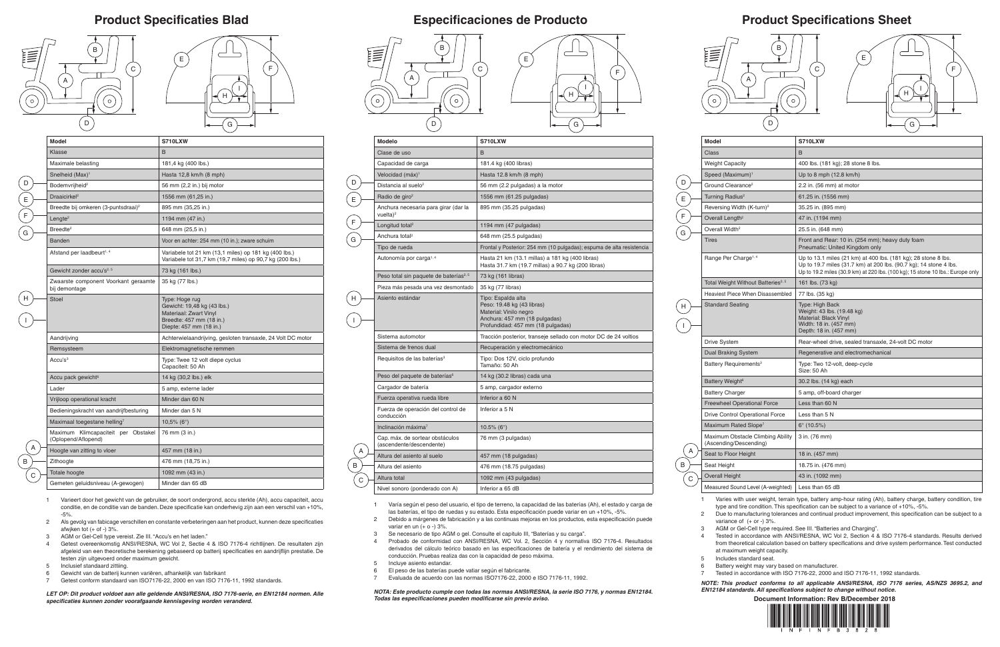# **Product Specifications Sheet**

**Document Information: Rev B/December 2018**





- 
- 
- 

| Model                                                       | S710LXW                                                                                                                                                                                                               |  |
|-------------------------------------------------------------|-----------------------------------------------------------------------------------------------------------------------------------------------------------------------------------------------------------------------|--|
| Class                                                       | <sub>B</sub>                                                                                                                                                                                                          |  |
| <b>Weight Capacity</b>                                      | 400 lbs. (181 kg); 28 stone 8 lbs.                                                                                                                                                                                    |  |
| Speed (Maximum) <sup>1</sup>                                | Up to 8 mph $(12.8 \text{ km/h})$                                                                                                                                                                                     |  |
| Ground Clearance <sup>2</sup>                               | 2.2 in. (56 mm) at motor                                                                                                                                                                                              |  |
| Turning Radius <sup>2</sup>                                 | 61.25 in. (1556 mm)                                                                                                                                                                                                   |  |
| Reversing Width (K-turn) <sup>2</sup>                       | 35.25 in. (895 mm)                                                                                                                                                                                                    |  |
| Overall Length <sup>2</sup>                                 | 47 in. (1194 mm)                                                                                                                                                                                                      |  |
| Overall Width <sup>2</sup>                                  | 25.5 in. (648 mm)                                                                                                                                                                                                     |  |
| Tires                                                       | Front and Rear: 10 in. (254 mm); heavy duty foam<br>Pneumatic: United Kingdom only                                                                                                                                    |  |
| Range Per Charge <sup>1, 4</sup>                            | Up to 13.1 miles (21 km) at 400 lbs. (181 kg); 28 stone 8 lbs.<br>Up to 19.7 miles (31.7 km) at 200 lbs. (90.7 kg); 14 stone 4 lbs.<br>Up to 19.2 miles (30.9 km) at 220 lbs. (100 kg); 15 stone 10 lbs.: Europe only |  |
| Total Weight Without Batteries <sup>2, 5</sup>              | 161 lbs. (73 kg)                                                                                                                                                                                                      |  |
| Heaviest Piece When Disassembled                            | 77 lbs. (35 kg)                                                                                                                                                                                                       |  |
| Standard Seating                                            | Type: High Back<br>Weight: 43 lbs. (19.48 kg)<br><b>Material: Black Vinyl</b><br>Width: 18 in. (457 mm)<br>Depth: 18 in. (457 mm)                                                                                     |  |
| Drive System                                                | Rear-wheel drive, sealed transaxle, 24-volt DC motor                                                                                                                                                                  |  |
| Dual Braking System                                         | Regenerative and electromechanical                                                                                                                                                                                    |  |
| Battery Requirements <sup>3</sup>                           | Type: Two 12-volt, deep-cycle<br>Size: 50 Ah                                                                                                                                                                          |  |
| Battery Weight <sup>6</sup>                                 | 30.2 lbs. (14 kg) each                                                                                                                                                                                                |  |
| Battery Charger                                             | 5 amp, off-board charger                                                                                                                                                                                              |  |
| <b>Freewheel Operational Force</b>                          | Less than 60 N                                                                                                                                                                                                        |  |
| <b>Drive Control Operational Force</b>                      | Less than 5 N                                                                                                                                                                                                         |  |
| Maximum Rated Slope <sup>7</sup>                            | $6^{\circ}$ (10.5%)                                                                                                                                                                                                   |  |
| Maximum Obstacle Climbing Ability<br>(Ascending/Descending) | 3 in. (76 mm)                                                                                                                                                                                                         |  |
| Seat to Floor Height                                        | 18 in. (457 mm)                                                                                                                                                                                                       |  |
| Seat Height                                                 | 18.75 in. (476 mm)                                                                                                                                                                                                    |  |
| <b>Overall Height</b>                                       | 43 in. (1092 mm)                                                                                                                                                                                                      |  |
| (hetdriew-A) level I hrun2 heruzseM                         | Less than 65 dB                                                                                                                                                                                                       |  |

### **Product Specificaties Blad Especificaciones de Producto**

1 Varies with user weight, terrain type, battery amp-hour rating (Ah), battery charge, battery condition, tire type and tire condition. This specification can be subject to a variance of +10%, -5%.

2 Due to manufacturing tolerances and continual product improvement, this specification can be subject to a variance of (+ or -) 3%.

3 AGM or Gel-Cell type required. See III. "Batteries and Charging".

4 Tested in accordance with ANSI/RESNA, WC Vol 2, Section 4 & ISO 7176-4 standards. Results derived from theoretical calculation based on battery specifications and drive system performance. Test conducted at maximum weight capacity.

5 Includes standard seat.

6 Battery weight may vary based on manufacturer.

7 Tested in accordance with ISO 7176-22, 2000 and ISO 7176-11, 1992 standards.

*NOTE: This product conforms to all applicable ANSI/RESNA, ISO 7176 series, AS/NZS 3695.2, and EN12184 standards. All specifications subject to change without notice.*

| <b>Modelo</b>                                               | S710LXW                                                                                                                                          |
|-------------------------------------------------------------|--------------------------------------------------------------------------------------------------------------------------------------------------|
| Clase de uso                                                | B                                                                                                                                                |
| Capacidad de carga                                          | 181.4 kg (400 libras)                                                                                                                            |
| Velocidad (máx) <sup>1</sup>                                | Hasta 12.8 km/h (8 mph)                                                                                                                          |
| Distancia al suelo <sup>2</sup>                             | 56 mm (2.2 pulgadas) a la motor                                                                                                                  |
| Radio de giro <sup>2</sup>                                  | 1556 mm (61.25 pulgadas)                                                                                                                         |
| Anchura necesaria para girar (dar la<br>vuelta $)^2$        | 895 mm (35.25 pulgadas)                                                                                                                          |
| Longitud total <sup>2</sup>                                 | 1194 mm (47 pulgadas)                                                                                                                            |
| Anchura total <sup>2</sup>                                  | 648 mm (25.5 pulgadas)                                                                                                                           |
| Tipo de rueda                                               | Frontal y Posterior: 254 mm (10 pulgadas); espuma de alta resistencia                                                                            |
| Autonomía por carga <sup>1,4</sup>                          | Hasta 21 km (13.1 millas) a 181 kg (400 libras)<br>Hasta 31.7 km (19.7 millas) a 90.7 kg (200 libras)                                            |
| Peso total sin paquete de baterías <sup>2, 5</sup>          | 73 kg (161 libras)                                                                                                                               |
| Pieza más pesada una vez desmontado                         | 35 kg (77 libras)                                                                                                                                |
| Asiento estándar                                            | Tipo: Espalda alta<br>Peso: 19.48 kg (43 libras)<br>Material: Vinilo negro<br>Anchura: 457 mm (18 pulgadas)<br>Profundidad: 457 mm (18 pulgadas) |
| Sistema automotor                                           | Tracción posterior, transeje sellado con motor DC de 24 voltios                                                                                  |
| Sistema de frenos dual                                      | Recuperación y electromecánico                                                                                                                   |
| Requisitos de las baterías <sup>3</sup>                     | Tipo: Dos 12V, ciclo profundo<br>Tamaño: 50 Ah                                                                                                   |
| Peso del paquete de baterías <sup>6</sup>                   | 14 kg (30.2 libras) cada una                                                                                                                     |
| Cargador de batería                                         | 5 amp, cargador externo                                                                                                                          |
| Fuerza operativa rueda libre                                | Inferior a 60 N                                                                                                                                  |
| Fuerza de operación del control de<br>conducción            | Inferior a 5 N                                                                                                                                   |
| Inclinación máxima $7$                                      | 10.5% ( $6^{\circ}$ )                                                                                                                            |
| Cap. máx. de sortear obstáculos<br>(ascendente/descendente) | 76 mm (3 pulgadas)                                                                                                                               |
| Altura del asiento al suelo                                 | 457 mm (18 pulgadas)                                                                                                                             |
| Altura del asiento                                          | 476 mm (18.75 pulgadas)                                                                                                                          |
| Altura total                                                | 1092 mm (43 pulgadas)                                                                                                                            |
| Nivel sonoro (ponderado con A)                              | Inferior a 65 dB                                                                                                                                 |

 $\begin{pmatrix} 1 \ 1 \end{pmatrix}$ 

- 1 Varía según el peso del usuario, el tipo de terreno, la capacidad de las baterías (Ah), el estado y carga de las baterías, el tipo de ruedas y su estado. Esta especificación puede variar en un +10%, -5%.
- 2 Debido a márgenes de fabricación y a las continuas mejoras en los productos, esta especificación puede variar en un  $(+ o -) 3%$ .
- 3 Se necesario de tipo AGM o gel. Consulte el capitulo III, "Baterías y su carga".
- 4 Probado de conformidad con ANSI/RESNA, WC Vol. 2, Sección 4 y normativa ISO 7176-4. Resultados derivados del cálculo teórico basado en las especificaciones de batería y el rendimiento del sistema de conducción. Pruebas realiza das con la capacidad de peso máxima.
- 5 Incluye asiento estandar.
- 6 El peso de las baterías puede vatiar según el fabricante.
- 7 Evaluada de acuerdo con las normas ISO7176-22, 2000 e ISO 7176-11, 1992.

*NOTA: Este producto cumple con todas las normas ANSI/RESNA, la serie ISO 7176, y normas EN12184. Todas las especificaciones pueden modificarse sin previo aviso.*

| Model                                                      | S710LXW                                                                                                                        |
|------------------------------------------------------------|--------------------------------------------------------------------------------------------------------------------------------|
| Klasse                                                     | B                                                                                                                              |
| Maximale belasting                                         | 181,4 kg (400 lbs.)                                                                                                            |
| Snelheid (Max) <sup>1</sup>                                | Hasta 12,8 km/h (8 mph)                                                                                                        |
| Bodemvrijheid <sup>2</sup>                                 | 56 mm (2,2 in.) bij motor                                                                                                      |
| Draaicirkel <sup>2</sup>                                   | 1556 mm (61,25 in.)                                                                                                            |
| Breedte bij omkeren (3-puntsdraai) <sup>2</sup>            | 895 mm (35,25 in.)                                                                                                             |
| Lengte <sup>2</sup>                                        | 1194 mm (47 in.)                                                                                                               |
| Breedte <sup>2</sup>                                       | 648 mm (25,5 in.)                                                                                                              |
| <b>Banden</b>                                              | Voor en achter: 254 mm (10 in.); zware schuim                                                                                  |
| Afstand per laadbeurt <sup>1, 4</sup>                      | Variabele tot 21 km (13,1 miles) op 181 kg (400 lbs.)<br>Variabele tot 31,7 km (19,7 miles) op 90,7 kg (200 lbs.)              |
| Gewicht zonder accu's <sup>2, 5</sup>                      | 73 kg (161 lbs.)                                                                                                               |
| Zwaarste component Voorkant geraamte<br>bij demontage      | 35 kg (77 lbs.)                                                                                                                |
| <b>Stoel</b>                                               | Type: Hoge rug<br>Gewicht: 19,48 kg (43 lbs.)<br>Materiaal: Zwart Vinyl<br>Breedte: 457 mm (18 in.)<br>Diepte: 457 mm (18 in.) |
| Aandrijving                                                | Achterwielaandrijving, gesloten transaxle, 24 Volt DC motor                                                                    |
| Remsysteem                                                 | Elektromagnetische remmen                                                                                                      |
| Accu's <sup>3</sup>                                        | Type: Twee 12 volt diepe cyclus<br>Capaciteit: 50 Ah                                                                           |
| Accu pack gewicht <sup>6</sup>                             | 14 kg (30,2 lbs.) elk                                                                                                          |
| Lader                                                      | 5 amp, externe lader                                                                                                           |
| Vrijloop operational kracht                                | Minder dan 60 N                                                                                                                |
| Bedieningskracht van aandrijfbesturing                     | Minder dan 5 N                                                                                                                 |
| Maximaal toegestane helling7                               | $10,5\%$ (6°)                                                                                                                  |
| Maximum Klimcapaciteit per Obstakel<br>(Oplopend/Aflopend) | 76 mm (3 in.)                                                                                                                  |
| A<br>Hoogte van zitting to vloer                           | 457 mm (18 in.)                                                                                                                |
| Zithoogte                                                  | 476 mm (18,75 in.)                                                                                                             |
| Totale hoogte                                              | 1092 mm (43 in.)                                                                                                               |
| Gemeten geluidsniveau (A-gewogen)                          | Minder dan 65 dB                                                                                                               |

1 Varieert door het gewicht van de gebruiker, de soort ondergrond, accu sterkte (Ah), accu capaciteit, accu conditie, en de conditie van de banden. Deze specificatie kan onderhevig zijn aan een verschil van +10%, -5%.

- 2 Als gevolg van fabicage verschillen en constante verbeteringen aan het product, kunnen deze specificaties afwiken tot  $(+$  of  $-$ ) 3%
- 3 AGM or Gel-Cell type vereist. Zie III. "Accu's en het laden."
- 4 Getest overeenkomstig ANSI/RESNA, WC Vol 2, Sectie 4 & ISO 7176-4 richtlijnen. De resultaten zijn afgeleid van een theoretische berekening gebaseerd op batterij specificaties en aandrijflijn prestatie. De testen zijn uitgevoerd onder maximum gewicht.
- 5 Inclusief standaard zittiing.
- 6 Gewicht van de batterij kunnen variëren, afhankelijk van fabrikant
- 7 Getest conform standaard van ISO7176-22, 2000 en van ISO 7176-11, 1992 standards.

*LET OP: Dit product voldoet aan alle geldende ANSI/RESNA, ISO 7176-serie, en EN12184 normen. Alle specificaties kunnen zonder voorafgaande kennisgeving worden veranderd.*











E